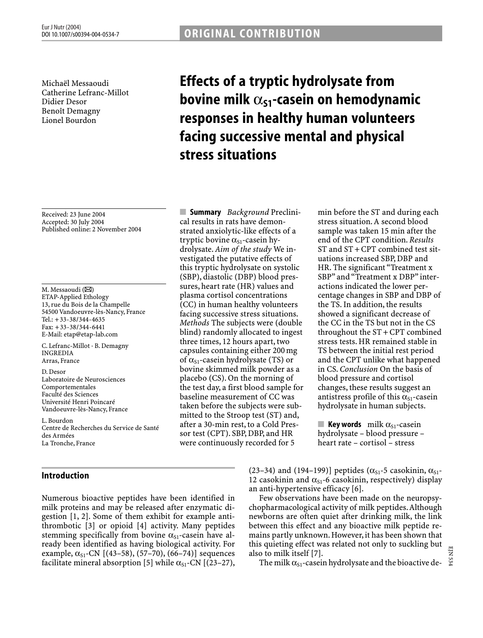Michaël Messaoudi Catherine Lefranc-Millot Didier Desor Benoît Demagny Lionel Bourdon

Received: 23 June 2004 Accepted: 30 July 2004 Published online: 2 November 2004

M. Messaoudi ( $\boxtimes$ ) ETAP-Applied Ethology 13, rue du Bois de la Champelle 54500 Vandoeuvre-lès-Nancy, France Tel.: +33-38/344-4635 Fax: +33-38/344-6441 E-Mail: etap@etap-lab.com

C. Lefranc-Millot · B. Demagny INGREDIA Arras, France

D. Desor Laboratoire de Neurosciences Comportementales Faculté des Sciences Université Henri Poincaré Vandoeuvre-lès-Nancy, France

L. Bourdon Centre de Recherches du Service de Santé des Armées La Tronche, France

# Introduction

Numerous bioactive peptides have been identified in milk proteins and may be released after enzymatic digestion [1, 2]. Some of them exhibit for example antithrombotic [3] or opioid [4] activity. Many peptides stemming specifically from bovine  $\alpha_{S1}$ -casein have already been identified as having biological activity. For example,  $\alpha_{S1}$ -CN [(43–58), (57–70), (66–74)] sequences facilitate mineral absorption [5] while  $\alpha_{S1}$ -CN [(23–27),

# Effects of a tryptic hydrolysate from bovine milk  $\alpha_{s1}$ -casein on hemodynamic responses in healthy human volunteers facing successive mental and physical stress situations

■ Summary *Background* Preclinical results in rats have demonstrated anxiolytic-like effects of a tryptic bovine  $\alpha_{S1}$ -casein hydrolysate. *Aim of the study* We investigated the putative effects of this tryptic hydrolysate on systolic (SBP), diastolic (DBP) blood pressures, heart rate (HR) values and plasma cortisol concentrations (CC) in human healthy volunteers facing successive stress situations. *Methods* The subjects were (double blind) randomly allocated to ingest three times, 12 hours apart, two capsules containing either 200 mg of  $\alpha_{S1}$ -casein hydrolysate (TS) or bovine skimmed milk powder as a placebo (CS). On the morning of the test day, a first blood sample for baseline measurement of CC was taken before the subjects were submitted to the Stroop test (ST) and, after a 30-min rest, to a Cold Pressor test (CPT). SBP, DBP, and HR were continuously recorded for 5

min before the ST and during each stress situation. A second blood sample was taken 15 min after the end of the CPT condition. *Results* ST and ST + CPT combined test situations increased SBP, DBP and HR. The significant "Treatment x SBP" and "Treatment x DBP" interactions indicated the lower percentage changes in SBP and DBP of the TS. In addition, the results showed a significant decrease of the CC in the TS but not in the CS throughout the ST + CPT combined stress tests. HR remained stable in TS between the initial rest period and the CPT unlike what happened in CS. *Conclusion* On the basis of blood pressure and cortisol changes, these results suggest an antistress profile of this  $\alpha_{S1}$ -casein hydrolysate in human subjects.

**E** Key words milk  $\alpha_{S1}$ -casein hydrolysate – blood pressure – heart rate – cortisol – stress

(23–34) and (194–199)] peptides ( $\alpha_{s1}$ -5 casokinin,  $\alpha_{s1}$ -12 casokinin and  $\alpha_{s1}$ -6 casokinin, respectively) display an anti-hypertensive efficacy [6].

Few observations have been made on the neuropsychopharmacological activity of milk peptides.Although newborns are often quiet after drinking milk, the link between this effect and any bioactive milk peptide remains partly unknown. However, it has been shown that this quieting effect was related not only to suckling but also to milk itself [7]. The milk  $\alpha_{s1}$ -casein hydrolysate and the bioactive de-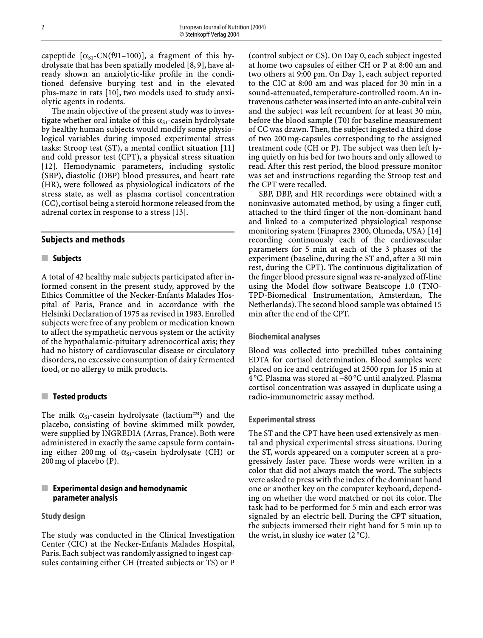capeptide  $[\alpha_{S1}$ -CN(f91–100)], a fragment of this hydrolysate that has been spatially modeled [8, 9], have already shown an anxiolytic-like profile in the conditioned defensive burying test and in the elevated plus-maze in rats [10], two models used to study anxiolytic agents in rodents.

The main objective of the present study was to investigate whether oral intake of this  $\alpha_{S1}$ -casein hydrolysate by healthy human subjects would modify some physiological variables during imposed experimental stress tasks: Stroop test (ST), a mental conflict situation [11] and cold pressor test (CPT), a physical stress situation [12]. Hemodynamic parameters, including systolic (SBP), diastolic (DBP) blood pressures, and heart rate (HR), were followed as physiological indicators of the stress state, as well as plasma cortisol concentration (CC),cortisol being a steroid hormone released from the adrenal cortex in response to a stress [13].

## Subjects and methods

## ■ Subjects

A total of 42 healthy male subjects participated after informed consent in the present study, approved by the Ethics Committee of the Necker-Enfants Malades Hospital of Paris, France and in accordance with the Helsinki Declaration of 1975 as revised in 1983. Enrolled subjects were free of any problem or medication known to affect the sympathetic nervous system or the activity of the hypothalamic-pituitary adrenocortical axis; they had no history of cardiovascular disease or circulatory disorders, no excessive consumption of dairy fermented food, or no allergy to milk products.

## ■ Tested products

The milk  $\alpha_{S1}$ -casein hydrolysate (lactium™) and the placebo, consisting of bovine skimmed milk powder, were supplied by INGREDIA (Arras, France). Both were administered in exactly the same capsule form containing either 200 mg of  $\alpha_{S1}$ -casein hydrolysate (CH) or 200 mg of placebo (P).

# $\blacksquare$  Experimental design and hemodynamic parameter analysis

# Study design

The study was conducted in the Clinical Investigation Center (CIC) at the Necker-Enfants Malades Hospital, Paris.Each subject was randomly assigned to ingest capsules containing either CH (treated subjects or TS) or P (control subject or CS). On Day 0, each subject ingested at home two capsules of either CH or P at 8:00 am and two others at 9:00 pm. On Day 1, each subject reported to the CIC at 8:00 am and was placed for 30 min in a sound-attenuated, temperature-controlled room. An intravenous catheter was inserted into an ante-cubital vein and the subject was left recumbent for at least 30 min, before the blood sample (T0) for baseline measurement of CC was drawn. Then, the subject ingested a third dose of two 200 mg-capsules corresponding to the assigned treatment code (CH or P). The subject was then left lying quietly on his bed for two hours and only allowed to read. After this rest period, the blood pressure monitor was set and instructions regarding the Stroop test and the CPT were recalled.

SBP, DBP, and HR recordings were obtained with a noninvasive automated method, by using a finger cuff, attached to the third finger of the non-dominant hand and linked to a computerized physiological response monitoring system (Finapres 2300, Ohmeda, USA) [14] recording continuously each of the cardiovascular parameters for 5 min at each of the 3 phases of the experiment (baseline, during the ST and, after a 30 min rest, during the CPT). The continuous digitalization of the finger blood pressure signal was re-analyzed off-line using the Model flow software Beatscope 1.0 (TNO-TPD-Biomedical Instrumentation, Amsterdam, The Netherlands). The second blood sample was obtained 15 min after the end of the CPT.

## Biochemical analyses

Blood was collected into prechilled tubes containing EDTA for cortisol determination. Blood samples were placed on ice and centrifuged at 2500 rpm for 15 min at 4 °C. Plasma was stored at –80 °C until analyzed. Plasma cortisol concentration was assayed in duplicate using a radio-immunometric assay method.

#### Experimental stress

The ST and the CPT have been used extensively as mental and physical experimental stress situations. During the ST, words appeared on a computer screen at a progressively faster pace. These words were written in a color that did not always match the word. The subjects were asked to press with the index of the dominant hand one or another key on the computer keyboard, depending on whether the word matched or not its color. The task had to be performed for 5 min and each error was signaled by an electric bell. During the CPT situation, the subjects immersed their right hand for 5 min up to the wrist, in slushy ice water  $(2^{\circ}C)$ .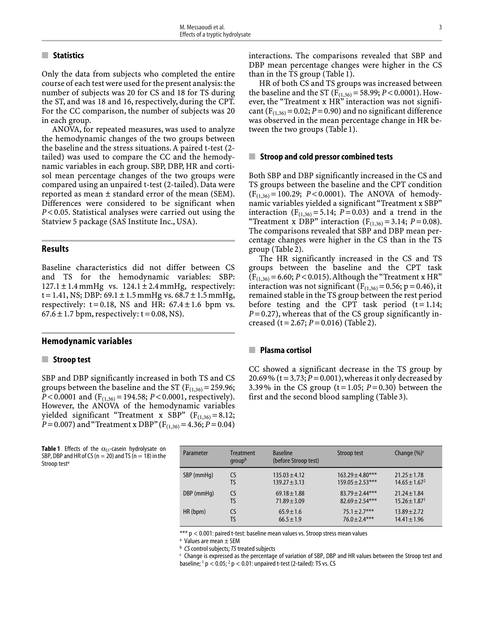# ■ Statistics

Only the data from subjects who completed the entire course of each test were used for the present analysis: the number of subjects was 20 for CS and 18 for TS during the ST, and was 18 and 16, respectively, during the CPT. For the CC comparison, the number of subjects was 20 in each group.

ANOVA, for repeated measures, was used to analyze the hemodynamic changes of the two groups between the baseline and the stress situations. A paired t-test (2 tailed) was used to compare the CC and the hemodynamic variables in each group. SBP, DBP, HR and cortisol mean percentage changes of the two groups were compared using an unpaired t-test (2-tailed). Data were reported as mean  $\pm$  standard error of the mean (SEM). Differences were considered to be significant when *P*<0.05. Statistical analyses were carried out using the Statview 5 package (SAS Institute Inc., USA).

# Results

Baseline characteristics did not differ between CS and TS for the hemodynamic variables: SBP:  $127.1 \pm 1.4 \text{ mmHg}$  vs.  $124.1 \pm 2.4 \text{ mmHg}$ , respectively:  $t = 1.41$ , NS; DBP: 69.1  $\pm$  1.5 mmHg vs. 68.7  $\pm$  1.5 mmHg, respectively:  $t = 0.18$ , NS and HR:  $67.4 \pm 1.6$  bpm vs.  $67.6 \pm 1.7$  bpm, respectively:  $t = 0.08$ , NS).

# Hemodynamic variables

## ■ Stroop test

SBP and DBP significantly increased in both TS and CS groups between the baseline and the ST  $(F<sub>(1,36)</sub> = 259.96;$ *P*<0.0001 and ( $F_{(1,36)}$  = 194.58; *P*<0.0001, respectively). However, the ANOVA of the hemodynamic variables yielded significant "Treatment x SBP"  $(F_{(1,36)} = 8.12;$ *P* = 0.007) and "Treatment x DBP" ( $F_{(1,36)}$  = 4.36; *P* = 0.04)

**Table 1** Effects of the  $\alpha_{S1}$ -casein hydrolysate on SBP, DBP and HR of CS ( $n = 20$ ) and TS ( $n = 18$ ) in the Stroop test<sup>a</sup>

interactions. The comparisons revealed that SBP and DBP mean percentage changes were higher in the CS than in the TS group (Table 1).

HR of both CS and TS groups was increased between the baseline and the ST ( $F_{(1,36)}$  = 58.99; *P* < 0.0001). However, the "Treatment x HR" interaction was not significant  $(F_{(1,36)}=0.02; P=0.90)$  and no significant difference was observed in the mean percentage change in HR between the two groups (Table 1).

#### ■ Stroop and cold pressor combined tests

Both SBP and DBP significantly increased in the CS and TS groups between the baseline and the CPT condition  $(F_{(1,36)} = 100.29; P < 0.0001)$ . The ANOVA of hemodynamic variables yielded a significant "Treatment x SBP" interaction ( $F_{(1,36)} = 5.14$ ; *P*=0.03) and a trend in the "Treatment x DBP" interaction  $(F_{(1,36)} = 3.14; P = 0.08)$ . The comparisons revealed that SBP and DBP mean percentage changes were higher in the CS than in the TS group (Table 2).

The HR significantly increased in the CS and TS groups between the baseline and the CPT task  $(F_{(1,36)} = 6.60; P < 0.015)$ . Although the "Treatment x HR" interaction was not significant  $(F_{(1,36)}=0.56; p=0.46)$ , it remained stable in the TS group between the rest period before testing and the CPT task period  $(t=1.14;$ *P*=0.27), whereas that of the CS group significantly increased (t = 2.67; *P*=0.016) (Table 2).

## ■ Plasma cortisol

CC showed a significant decrease in the TS group by 20.69% ( $t = 3.73$ ;  $P = 0.001$ ), whereas it only decreased by 3.39% in the CS group ( $t = 1.05$ ;  $P = 0.30$ ) between the first and the second blood sampling (Table 3).

| Parameter  | <b>Treatment</b><br>groupb | <b>Baseline</b><br>(before Stroop test) | Stroop test          | Change $(\%)^c$               |
|------------|----------------------------|-----------------------------------------|----------------------|-------------------------------|
| SBP (mmHg) | CS                         | $135.03 \pm 4.12$                       | $163.29 \pm 4.80***$ | $21.25 \pm 1.78$              |
|            | TS                         | $139.27 \pm 3.13$                       | $159.05 \pm 2.53***$ | $14.65 \pm 1.67^2$            |
| DBP (mmHg) | CS                         | $69.18 \pm 1.88$                        | $83.79 \pm 2.44***$  | $21.24 \pm 1.84$              |
|            | TS                         | $71.89 \pm 3.09$                        | $82.69 \pm 2.54***$  | $15.26 \pm 1.87$ <sup>1</sup> |
| HR(bpm)    | CS                         | $65.9 \pm 1.6$                          | $75.1 \pm 2.7***$    | $13.89 \pm 2.72$              |
|            | TS                         | $66.5 \pm 1.9$                          | $76.0 \pm 2.4***$    | $14.41 \pm 1.96$              |

\*\*\* p < 0.001: paired t-test: baseline mean values vs. Stroop stress mean values

<sup>a</sup> Values are mean ± SEM

 $<sup>b</sup>$  CS control subjects; TS treated subjects</sup>

<sup>c</sup> Change is expressed as the percentage of variation of SBP, DBP and HR values between the Stroop test and baseline;  $1 p < 0.05$ ;  $2 p < 0.01$ : unpaired t-test (2-tailed): TS vs. CS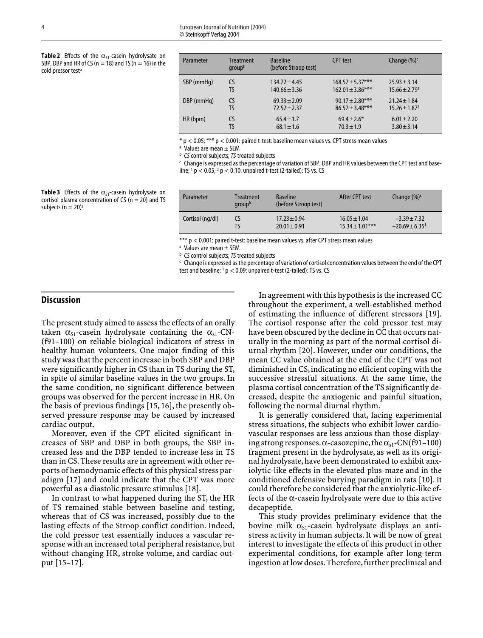**Table 2** Effects of the  $\alpha_{51}$ -casein hydrolysate on SBP, DBP and HR of CS ( $n = 18$ ) and TS ( $n = 16$ ) in the cold pressor test<sup>a</sup>

| Parameter  | Treatment<br>group <sup>b</sup> | <b>Baseline</b><br>(before Stroop test) | <b>CPT</b> test      | Change $(\%)^c$               |
|------------|---------------------------------|-----------------------------------------|----------------------|-------------------------------|
| SBP (mmHg) | CS                              | $134.72 \pm 4.45$                       | $168.57 \pm 5.37***$ | $25.93 \pm 3.14$              |
|            | TS                              | $140.66 \pm 3.36$                       | $162.01 \pm 3.86***$ | $15.66 \pm 2.79$ <sup>1</sup> |
| DBP (mmHq) | CS                              | $69.33 \pm 2.09$                        | $90.17 \pm 2.80***$  | $21.24 \pm 1.84$              |
|            | TS                              | $72.52 \pm 2.37$                        | $86.57 \pm 3.48***$  | $15.26 \pm 1.87^2$            |
| HR (bpm)   | CS                              | $65.4 \pm 1.7$                          | $69.4 \pm 2.6*$      | $6.01 \pm 2.20$               |
|            | TS                              | $68.1 \pm 1.6$                          | $70.3 \pm 1.9$       | $3.80 \pm 3.14$               |

 $*$  p < 0.05; \*\*\* p < 0.001: paired t-test: baseline mean values vs. CPT stress mean values

<sup>a</sup> Values are mean ± SEM

**b** CS control subjects; TS treated subjects

<sup>c</sup> Change is expressed as the percentage of variation of SBP, DBP and HR values between the CPT test and baseline;  $\frac{1}{2}$  p < 0.05;  $\frac{2}{9}$  < 0.10: unpaired t-test (2-tailed): TS vs. CS

Table 3 Effects of the  $\alpha_{S1}$ -casein hydrolysate on cortisol plasma concentration of CS ( $n = 20$ ) and TS subjects ( $n = 20$ )<sup>a</sup>

| Parameter        | <b>Treatment</b><br>group <sup>b</sup> | <b>Baseline</b><br>(before Stroop test) | After CPT test      | Change $(\%)^c$                |
|------------------|----------------------------------------|-----------------------------------------|---------------------|--------------------------------|
| Cortisol (ng/dl) | CS                                     | $17.23 \pm 0.94$                        | $16.05 \pm 1.04$    | $-3.39 + 7.32$                 |
|                  | TS                                     | $20.01 \pm 0.91$                        | $15.34 \pm 1.01***$ | $-20.69 \pm 6.35$ <sup>1</sup> |

\*\*\* p < 0.001: paired t-test: baseline mean values vs. after CPT stress mean values

<sup>a</sup> Values are mean ± SEM

 $<sup>b</sup>$  CS control subjects; TS treated subjects</sup>

<sup>c</sup> Change is expressed as the percentage of variation of cortisol concentration values between the end of the CPT test and baseline;  $1 p < 0.09$ : unpaired t-test (2-tailed): TS vs. CS

# **Discussion**

The present study aimed to assess the effects of an orally taken  $\alpha_{s1}$ -casein hydrolysate containing the  $\alpha_{s1}$ -CN-(f91–100) on reliable biological indicators of stress in healthy human volunteers. One major finding of this study was that the percent increase in both SBP and DBP were significantly higher in CS than in TS during the ST, in spite of similar baseline values in the two groups. In the same condition, no significant difference between groups was observed for the percent increase in HR. On the basis of previous findings [15, 16], the presently observed pressure response may be caused by increased cardiac output.

Moreover, even if the CPT elicited significant increases of SBP and DBP in both groups, the SBP increased less and the DBP tended to increase less in TS than in CS. These results are in agreement with other reports of hemodynamic effects of this physical stress paradigm [17] and could indicate that the CPT was more powerful as a diastolic pressure stimulus [18].

In contrast to what happened during the ST, the HR of TS remained stable between baseline and testing, whereas that of CS was increased, possibly due to the lasting effects of the Stroop conflict condition. Indeed, the cold pressor test essentially induces a vascular response with an increased total peripheral resistance, but without changing HR, stroke volume, and cardiac output [15–17].

In agreement with this hypothesis is the increased CC throughout the experiment, a well-established method of estimating the influence of different stressors [19]. The cortisol response after the cold pressor test may have been obscured by the decline in CC that occurs naturally in the morning as part of the normal cortisol diurnal rhythm [20]. However, under our conditions, the mean CC value obtained at the end of the CPT was not diminished in CS, indicating no efficient coping with the successive stressful situations. At the same time, the plasma cortisol concentration of the TS significantly decreased, despite the anxiogenic and painful situation, following the normal diurnal rhythm.

It is generally considered that, facing experimental stress situations, the subjects who exhibit lower cardiovascular responses are less anxious than those displaying strong responses.  $\alpha$ -casozepine, the  $\alpha_{s1}$ -CN(f91–100) fragment present in the hydrolysate, as well as its original hydrolysate, have been demonstrated to exhibit anxiolytic-like effects in the elevated plus-maze and in the conditioned defensive burying paradigm in rats [10]. It could therefore be considered that the anxiolytic-like effects of the  $\alpha$ -casein hydrolysate were due to this active decapeptide.

This study provides preliminary evidence that the bovine milk  $\alpha_{S1}$ -casein hydrolysate displays an antistress activity in human subjects. It will be now of great interest to investigate the effects of this product in other experimental conditions, for example after long-term ingestion at low doses.Therefore,further preclinical and